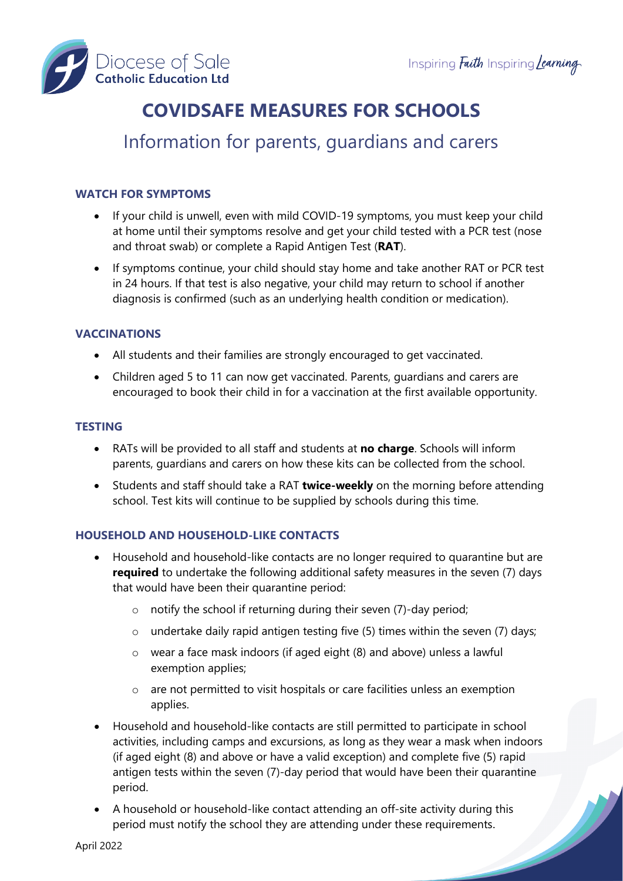

# **COVIDSAFE MEASURES FOR SCHOOLS**

# Information for parents, guardians and carers

# **WATCH FOR SYMPTOMS**

- If your child is unwell, even with mild COVID-19 symptoms, you must keep your child at home until their symptoms resolve and get your child tested with a PCR test (nose and throat swab) or complete a Rapid Antigen Test (**RAT**).
- If symptoms continue, your child should stay home and take another RAT or PCR test in 24 hours. If that test is also negative, your child may return to school if another diagnosis is confirmed (such as an underlying health condition or medication).

# **VACCINATIONS**

- All students and their families are strongly encouraged to get vaccinated.
- Children aged 5 to 11 can now get vaccinated. Parents, guardians and carers are encouraged to book their child in for a vaccination at the first available opportunity.

#### **TESTING**

- RATs will be provided to all staff and students at **no charge**. Schools will inform parents, guardians and carers on how these kits can be collected from the school.
- Students and staff should take a RAT **twice-weekly** on the morning before attending school. Test kits will continue to be supplied by schools during this time.

# **HOUSEHOLD AND HOUSEHOLD-LIKE CONTACTS**

- Household and household-like contacts are no longer required to quarantine but are **required** to undertake the following additional safety measures in the seven (7) days that would have been their quarantine period:
	- o notify the school if returning during their seven (7)-day period;
	- $\circ$  undertake daily rapid antigen testing five (5) times within the seven (7) days;
	- o wear a face mask indoors (if aged eight (8) and above) unless a lawful exemption applies;
	- o are not permitted to visit hospitals or care facilities unless an exemption applies.
- Household and household-like contacts are still permitted to participate in school activities, including camps and excursions, as long as they wear a mask when indoors (if aged eight (8) and above or have a valid exception) and complete five (5) rapid antigen tests within the seven (7)-day period that would have been their quarantine period.
- A household or household-like contact attending an off-site activity during this period must notify the school they are attending under these requirements.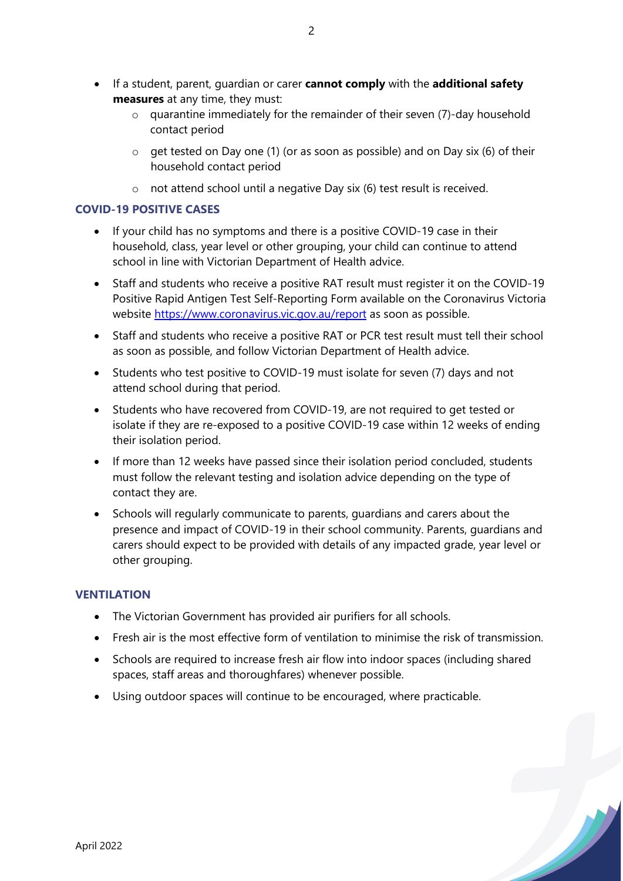- If a student, parent, guardian or carer **cannot comply** with the **additional safety measures** at any time, they must:
	- o quarantine immediately for the remainder of their seven (7)-day household contact period
	- o get tested on Day one (1) (or as soon as possible) and on Day six (6) of their household contact period
	- o not attend school until a negative Day six (6) test result is received.

#### **COVID-19 POSITIVE CASES**

- If your child has no symptoms and there is a positive COVID-19 case in their household, class, year level or other grouping, your child can continue to attend school in line with Victorian Department of Health advice.
- Staff and students who receive a positive RAT result must register it on the COVID-19 Positive Rapid Antigen Test Self-Reporting Form available on the Coronavirus Victoria website <https://www.coronavirus.vic.gov.au/report> as soon as possible.
- Staff and students who receive a positive RAT or PCR test result must tell their school as soon as possible, and follow Victorian Department of Health advice.
- Students who test positive to COVID-19 must isolate for seven (7) days and not attend school during that period.
- Students who have recovered from COVID-19, are not required to get tested or isolate if they are re-exposed to a positive COVID-19 case within 12 weeks of ending their isolation period.
- If more than 12 weeks have passed since their isolation period concluded, students must follow the relevant testing and isolation advice depending on the type of contact they are.
- Schools will regularly communicate to parents, guardians and carers about the presence and impact of COVID-19 in their school community. Parents, guardians and carers should expect to be provided with details of any impacted grade, year level or other grouping.

# **VENTILATION**

- The Victorian Government has provided air purifiers for all schools.
- Fresh air is the most effective form of ventilation to minimise the risk of transmission.

- Schools are required to increase fresh air flow into indoor spaces (including shared spaces, staff areas and thoroughfares) whenever possible.
- Using outdoor spaces will continue to be encouraged, where practicable.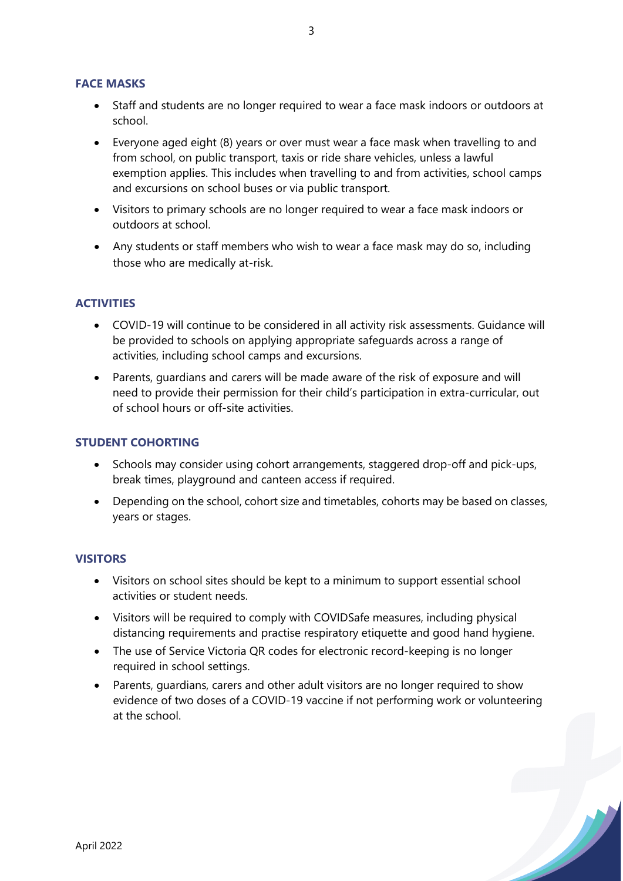#### **FACE MASKS**

- Staff and students are no longer required to wear a face mask indoors or outdoors at school.
- Everyone aged eight (8) years or over must wear a face mask when travelling to and from school, on public transport, taxis or ride share vehicles, unless a lawful exemption applies. This includes when travelling to and from activities, school camps and excursions on school buses or via public transport.
- Visitors to primary schools are no longer required to wear a face mask indoors or outdoors at school.
- Any students or staff members who wish to wear a face mask may do so, including those who are medically at-risk.

# **ACTIVITIES**

- COVID-19 will continue to be considered in all activity risk assessments. Guidance will be provided to schools on applying appropriate safeguards across a range of activities, including school camps and excursions.
- Parents, guardians and carers will be made aware of the risk of exposure and will need to provide their permission for their child's participation in extra-curricular, out of school hours or off-site activities.

#### **STUDENT COHORTING**

- Schools may consider using cohort arrangements, staggered drop-off and pick-ups, break times, playground and canteen access if required.
- Depending on the school, cohort size and timetables, cohorts may be based on classes, years or stages.

#### **VISITORS**

- Visitors on school sites should be kept to a minimum to support essential school activities or student needs.
- Visitors will be required to comply with COVIDSafe measures, including physical distancing requirements and practise respiratory etiquette and good hand hygiene.
- The use of Service Victoria QR codes for electronic record-keeping is no longer required in school settings.
- Parents, guardians, carers and other adult visitors are no longer required to show evidence of two doses of a COVID-19 vaccine if not performing work or volunteering at the school.